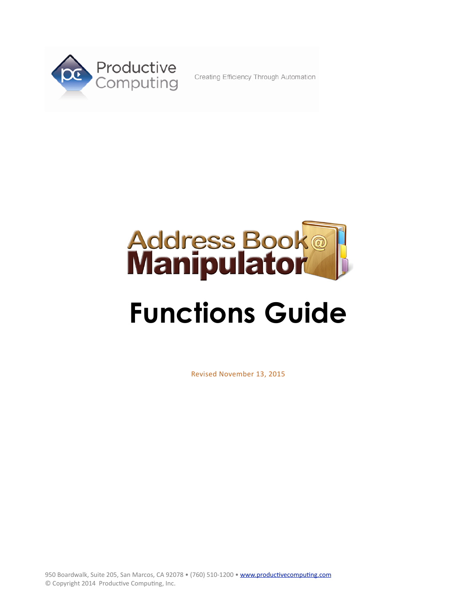

Creating Efficiency Through Automation



# **Functions Guide**

Revised November 13, 2015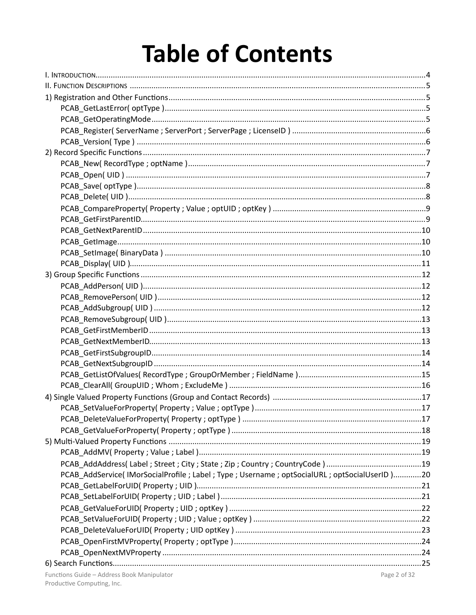# **Table of Contents**

| PCAB_AddService( IMorSocialProfile ; Label ; Type ; Username ; optSocialURL ; optSocialUserID )20 |  |
|---------------------------------------------------------------------------------------------------|--|
|                                                                                                   |  |
|                                                                                                   |  |
|                                                                                                   |  |
|                                                                                                   |  |
|                                                                                                   |  |
|                                                                                                   |  |
|                                                                                                   |  |
|                                                                                                   |  |
|                                                                                                   |  |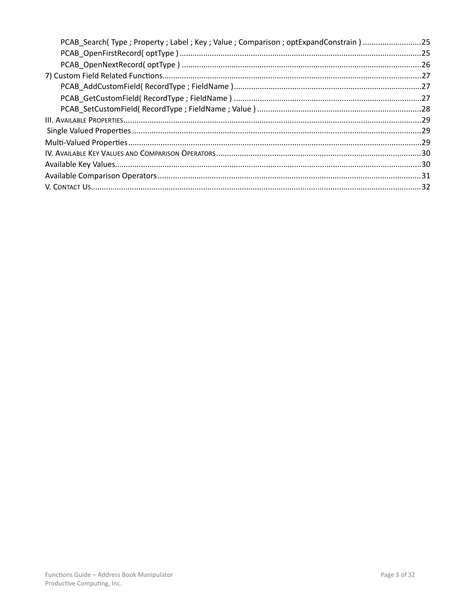| PCAB Search(Type; Property; Label; Key; Value; Comparison; optExpandConstrain) 25 |  |
|-----------------------------------------------------------------------------------|--|
|                                                                                   |  |
|                                                                                   |  |
|                                                                                   |  |
|                                                                                   |  |
|                                                                                   |  |
|                                                                                   |  |
|                                                                                   |  |
|                                                                                   |  |
|                                                                                   |  |
|                                                                                   |  |
|                                                                                   |  |
|                                                                                   |  |
|                                                                                   |  |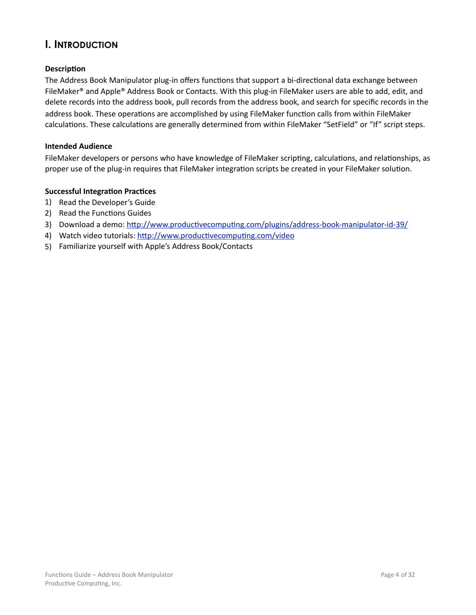# <span id="page-3-0"></span>**I. INTRODUCTION**

#### **Description**

The Address Book Manipulator plug-in offers functions that support a bi-directional data exchange between FileMaker® and Apple® Address Book or Contacts. With this plug-in FileMaker users are able to add, edit, and delete records into the address book, pull records from the address book, and search for specific records in the address book. These operations are accomplished by using FileMaker function calls from within FileMaker calculations. These calculations are generally determined from within FileMaker "SetField" or "If" script steps.

#### **Intended Audience**

FileMaker developers or persons who have knowledge of FileMaker scripting, calculations, and relationships, as proper use of the plug-in requires that FileMaker integration scripts be created in your FileMaker solution.

#### **Successful Integration Practices**

- 1) Read the Developer's Guide
- 2) Read the Functions Guides
- 3) Download a demo: http://www.productivecomputing.com/plugins/address-book-manipulator-id-39/
- 4) Watch video tutorials: http://www.productivecomputing.com/video
- 5) Familiarize yourself with Apple's Address Book/Contacts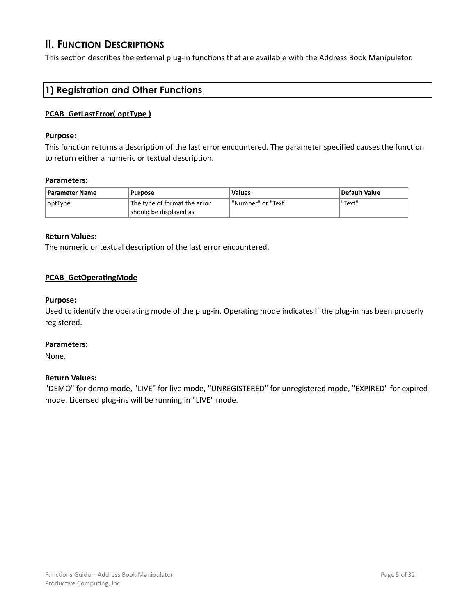# <span id="page-4-0"></span>**II. FUNCTION DESCRIPTIONS**

This section describes the external plug-in functions that are available with the Address Book Manipulator.

# **1) Registration and Other Functions**

#### **PCAB\_GetLastError( optType)**

#### **Purpose:**

This function returns a description of the last error encountered. The parameter specified causes the function to return either a numeric or textual description.

#### **Parameters:**

| Parameter Name | Purpose                                                | <b>Values</b>        | Default Value |
|----------------|--------------------------------------------------------|----------------------|---------------|
| optType        | The type of format the error<br>should be displayed as | l "Number" or "Text" | "Text"        |

#### **Return Values:**

The numeric or textual description of the last error encountered.

#### **PCAB\_GetOperatingMode**

#### **Purpose:**

Used to identify the operating mode of the plug-in. Operating mode indicates if the plug-in has been properly registered. 

#### **Parameters:**

None.

#### **Return Values:**

"DEMO" for demo mode, "LIVE" for live mode, "UNREGISTERED" for unregistered mode, "EXPIRED" for expired mode. Licensed plug-ins will be running in "LIVE" mode.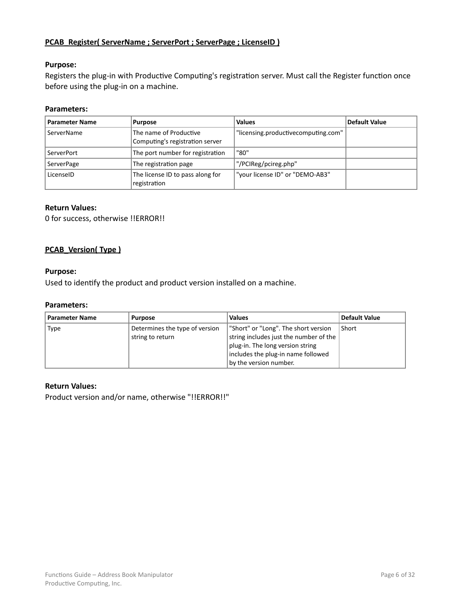#### <span id="page-5-0"></span>**PCAB\_Register( ServerName ; ServerPort ; ServerPage ; LicenseID)**

#### **Purpose:**

Registers the plug-in with Productive Computing's registration server. Must call the Register function once before using the plug-in on a machine.

#### **Parameters:**

| <b>Parameter Name</b> | <b>Purpose</b>                                            | <b>Values</b>                       | <b>Default Value</b> |
|-----------------------|-----------------------------------------------------------|-------------------------------------|----------------------|
| ServerName            | The name of Productive<br>Computing's registration server | "licensing.productivecomputing.com" |                      |
| ServerPort            | The port number for registration                          | "80"                                |                      |
| ServerPage            | The registration page                                     | "/PCIReg/pcireg.php"                |                      |
| LicenselD             | The license ID to pass along for<br>registration          | "your license ID" or "DEMO-AB3"     |                      |

#### **Return Values:**

0 for success, otherwise !!ERROR!!

#### **PCAB** Version( Type )

#### **Purpose:**

Used to identify the product and product version installed on a machine.

#### **Parameters:**

| <b>Parameter Name</b> | Purpose                                            | <b>Values</b>                                                                  | <b>Default Value</b> |
|-----------------------|----------------------------------------------------|--------------------------------------------------------------------------------|----------------------|
| <b>Type</b>           | Determines the type of version<br>string to return | "Short" or "Long". The short version<br>string includes just the number of the | Short                |
|                       |                                                    | plug-in. The long version string<br>includes the plug-in name followed         |                      |
|                       |                                                    | by the version number.                                                         |                      |

#### **Return Values:**

Product version and/or name, otherwise "!!ERROR!!"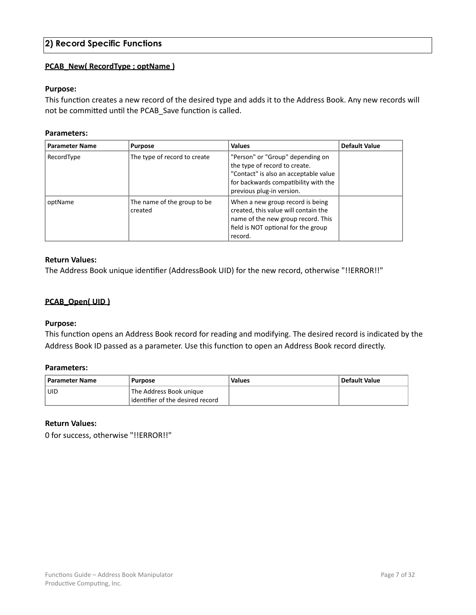# <span id="page-6-0"></span>**2) Record Specific Functions**

#### **PCAB\_New( RecordType ; optName )**

#### **Purpose:**

This function creates a new record of the desired type and adds it to the Address Book. Any new records will not be committed until the PCAB\_Save function is called.

#### **Parameters:**

| <b>Parameter Name</b> | <b>Purpose</b>                         | <b>Values</b>                                                                                                                                                                   | <b>Default Value</b> |
|-----------------------|----------------------------------------|---------------------------------------------------------------------------------------------------------------------------------------------------------------------------------|----------------------|
| RecordType            | The type of record to create           | "Person" or "Group" depending on<br>the type of record to create.<br>"Contact" is also an acceptable value<br>for backwards compatibility with the<br>previous plug-in version. |                      |
| optName               | The name of the group to be<br>created | When a new group record is being<br>created, this value will contain the<br>name of the new group record. This<br>field is NOT optional for the group<br>record.                |                      |

#### **Return Values:**

The Address Book unique identifier (AddressBook UID) for the new record, otherwise "!!ERROR!!"

#### **PCAB\_Open( UID)**

#### **Purpose:**

This function opens an Address Book record for reading and modifying. The desired record is indicated by the Address Book ID passed as a parameter. Use this function to open an Address Book record directly.

#### **Parameters:**

| <b>Parameter Name</b> | <b>Purpose</b>                   | <b>Values</b> | Default Value |
|-----------------------|----------------------------------|---------------|---------------|
| <b>UID</b>            | The Address Book unique          |               |               |
|                       | identifier of the desired record |               |               |

#### **Return Values:**

0 for success, otherwise "!!ERROR!!"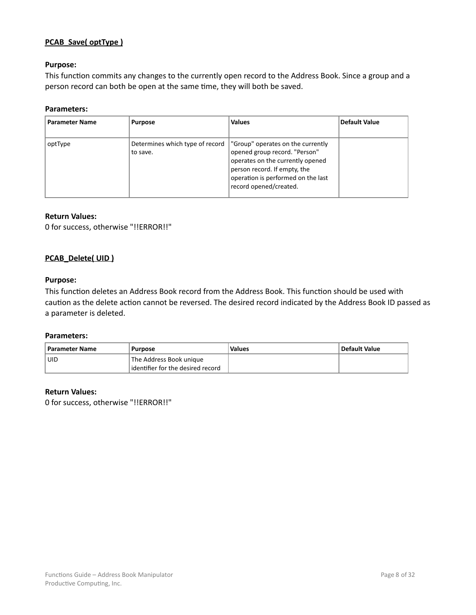#### <span id="page-7-0"></span>**PCAB\_Save( optType)**

#### **Purpose:**

This function commits any changes to the currently open record to the Address Book. Since a group and a person record can both be open at the same time, they will both be saved.

#### **Parameters:**

| <b>Parameter Name</b> | <b>Purpose</b>                                | <b>Values</b>                                                                                                                                                                                          | Default Value |
|-----------------------|-----------------------------------------------|--------------------------------------------------------------------------------------------------------------------------------------------------------------------------------------------------------|---------------|
| optType               | Determines which type of record  <br>to save. | "Group" operates on the currently<br>opened group record. "Person"<br>operates on the currently opened<br>person record. If empty, the<br>operation is performed on the last<br>record opened/created. |               |

#### **Return Values:**

0 for success, otherwise "!!ERROR!!"

#### **PCAB\_Delete( UID )**

#### **Purpose:**

This function deletes an Address Book record from the Address Book. This function should be used with caution as the delete action cannot be reversed. The desired record indicated by the Address Book ID passed as a parameter is deleted.

#### **Parameters:**

| <b>Parameter Name</b> | <b>Purpose</b>                                                | <b>Values</b> | Default Value |
|-----------------------|---------------------------------------------------------------|---------------|---------------|
| <b>UID</b>            | The Address Book unique<br>lidentifier for the desired record |               |               |

#### **Return Values:**

0 for success, otherwise "!!ERROR!!"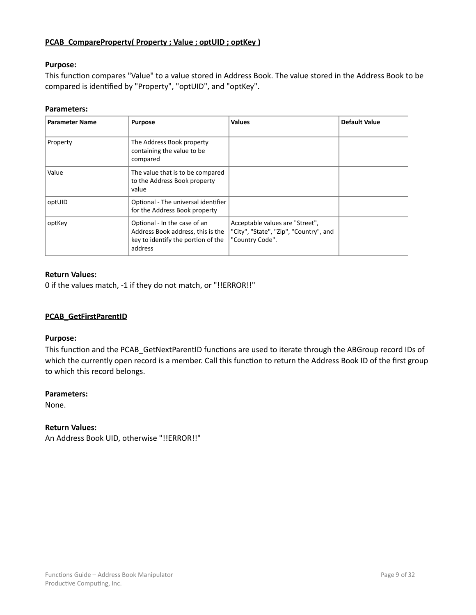#### <span id="page-8-0"></span>**PCAB\_CompareProperty( Property ; Value ; optUID ; optKey )**

#### **Purpose:**

This function compares "Value" to a value stored in Address Book. The value stored in the Address Book to be compared is identified by "Property", "optUID", and "optKey".

#### **Parameters:**

| <b>Parameter Name</b> | <b>Purpose</b>                                                                                                     | <b>Values</b>                                                                                | <b>Default Value</b> |
|-----------------------|--------------------------------------------------------------------------------------------------------------------|----------------------------------------------------------------------------------------------|----------------------|
| Property              | The Address Book property<br>containing the value to be<br>compared                                                |                                                                                              |                      |
| Value                 | The value that is to be compared<br>to the Address Book property<br>value                                          |                                                                                              |                      |
| optUID                | Optional - The universal identifier<br>for the Address Book property                                               |                                                                                              |                      |
| optKey                | Optional - In the case of an<br>Address Book address, this is the<br>key to identify the portion of the<br>address | Acceptable values are "Street",<br>"City", "State", "Zip", "Country", and<br>"Country Code". |                      |

#### **Return Values:**

0 if the values match, -1 if they do not match, or "!!ERROR!!"

#### **PCAB\_GetFirstParentID**

#### **Purpose:**

This function and the PCAB GetNextParentID functions are used to iterate through the ABGroup record IDs of which the currently open record is a member. Call this function to return the Address Book ID of the first group to which this record belongs.

#### **Parameters:**

None.

#### **Return Values:**

An Address Book UID, otherwise "!!ERROR!!"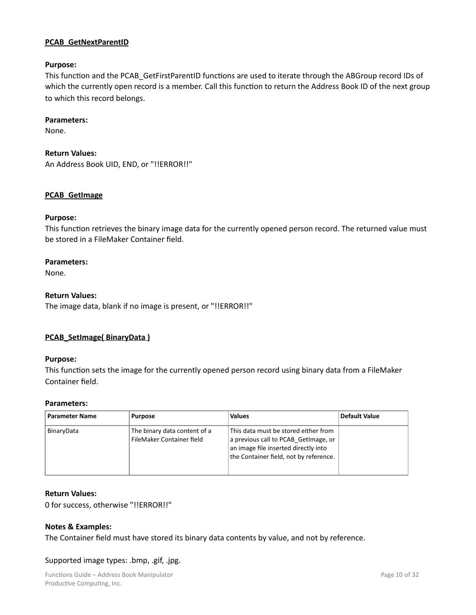#### <span id="page-9-0"></span>**PCAB\_GetNextParentID**

#### **Purpose:**

This function and the PCAB\_GetFirstParentID functions are used to iterate through the ABGroup record IDs of which the currently open record is a member. Call this function to return the Address Book ID of the next group to which this record belongs.

#### **Parameters:**

None.

#### **Return Values:**

An Address Book UID, END, or "!!ERROR!!"

#### **PCAB\_GetImage**

#### **Purpose:**

This function retrieves the binary image data for the currently opened person record. The returned value must be stored in a FileMaker Container field.

#### **Parameters:**

None.

#### **Return Values:**

The image data, blank if no image is present, or "!!ERROR!!"

#### **PCAB\_SetImage(BinaryData)**

#### **Purpose:**

This function sets the image for the currently opened person record using binary data from a FileMaker Container field.

#### **Parameters:**

| <b>Parameter Name</b> | <b>Purpose</b>                                            | <b>Values</b>                                                                                                                                                  | Default Value |
|-----------------------|-----------------------------------------------------------|----------------------------------------------------------------------------------------------------------------------------------------------------------------|---------------|
| BinaryData            | The binary data content of a<br>FileMaker Container field | This data must be stored either from<br>a previous call to PCAB GetImage, or<br>an image file inserted directly into<br>the Container field, not by reference. |               |

#### **Return Values:**

0 for success, otherwise "!!ERROR!!"

#### **Notes & Examples:**

The Container field must have stored its binary data contents by value, and not by reference.

#### Supported image types: .bmp, .gif, .jpg.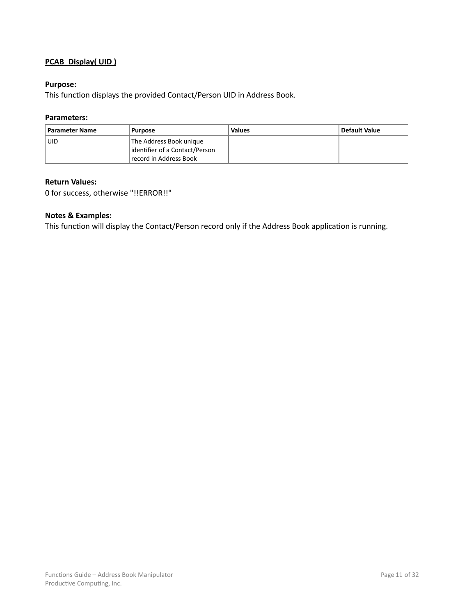#### <span id="page-10-0"></span>**PCAB\_Display( UID )**

#### **Purpose:**

This function displays the provided Contact/Person UID in Address Book.

#### **Parameters:**

| <b>Parameter Name</b> | <b>Purpose</b>                                                                      | <b>Values</b> | Default Value |
|-----------------------|-------------------------------------------------------------------------------------|---------------|---------------|
| UID                   | The Address Book unique<br>identifier of a Contact/Person<br>record in Address Book |               |               |

#### **Return Values:**

0 for success, otherwise "!!ERROR!!"

#### **Notes & Examples:**

This function will display the Contact/Person record only if the Address Book application is running.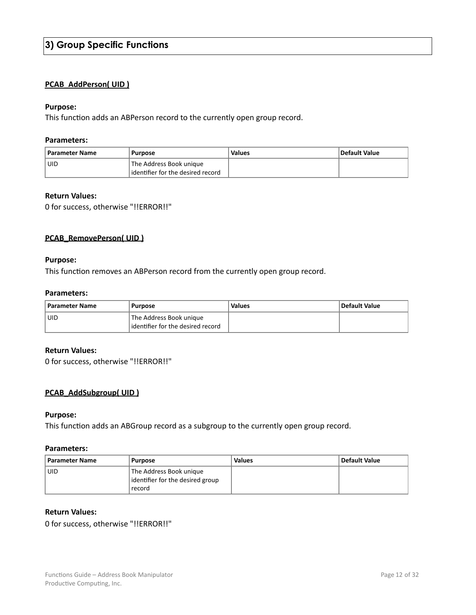#### <span id="page-11-0"></span>**PCAB\_AddPerson( UID )**

#### **Purpose:**

This function adds an ABPerson record to the currently open group record.

#### **Parameters:**

| <b>Parameter Name</b> | <b>Purpose</b>                                               | Values | Default Value |
|-----------------------|--------------------------------------------------------------|--------|---------------|
| l UID                 | The Address Book unique<br>identifier for the desired record |        |               |
|                       |                                                              |        |               |

#### **Return Values:**

0 for success, otherwise "!!ERROR!!"

#### **PCAB\_RemovePerson( UID)**

#### **Purpose:**

This function removes an ABPerson record from the currently open group record.

#### **Parameters:**

| <b>Parameter Name</b> | Purpose                                                        | Values | Default Value |
|-----------------------|----------------------------------------------------------------|--------|---------------|
| UID                   | The Address Book unique<br>l identifier for the desired record |        |               |

#### **Return Values:**

0 for success, otherwise "!!ERROR!!"

#### **PCAB\_AddSubgroup( UID)**

#### **Purpose:**

This function adds an ABGroup record as a subgroup to the currently open group record.

#### **Parameters:**

| <b>Parameter Name</b> | <b>Purpose</b>                                                        | <b>Values</b> | Default Value |
|-----------------------|-----------------------------------------------------------------------|---------------|---------------|
| UID                   | The Address Book unique<br>identifier for the desired group<br>record |               |               |

#### **Return Values:**

0 for success, otherwise "!!ERROR!!"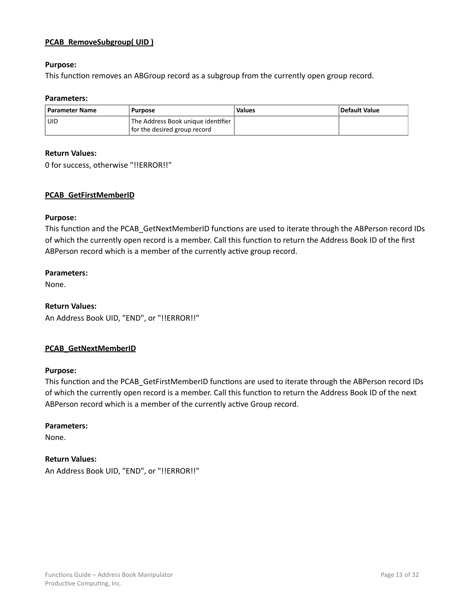#### <span id="page-12-0"></span>**PCAB\_RemoveSubgroup( UID )**

#### **Purpose:**

This function removes an ABGroup record as a subgroup from the currently open group record.

#### **Parameters:**

| <b>Parameter Name</b> | <b>Purpose</b>                                                     | <b>Values</b> | Default Value |
|-----------------------|--------------------------------------------------------------------|---------------|---------------|
| UID                   | The Address Book unique identifier<br>for the desired group record |               |               |

#### **Return Values:**

0 for success, otherwise "!!ERROR!!"

#### **PCAB\_GetFirstMemberID**

#### **Purpose:**

This function and the PCAB GetNextMemberID functions are used to iterate through the ABPerson record IDs of which the currently open record is a member. Call this function to return the Address Book ID of the first ABPerson record which is a member of the currently active group record.

#### **Parameters:**

None.

#### **Return Values:**

An Address Book UID, "END", or "!!ERROR!!"

#### **PCAB\_GetNextMemberID**

#### **Purpose:**

This function and the PCAB\_GetFirstMemberID functions are used to iterate through the ABPerson record IDs of which the currently open record is a member. Call this function to return the Address Book ID of the next ABPerson record which is a member of the currently active Group record.

#### **Parameters:**

None.

#### **Return Values:**

An Address Book UID, "END", or "!!ERROR!!"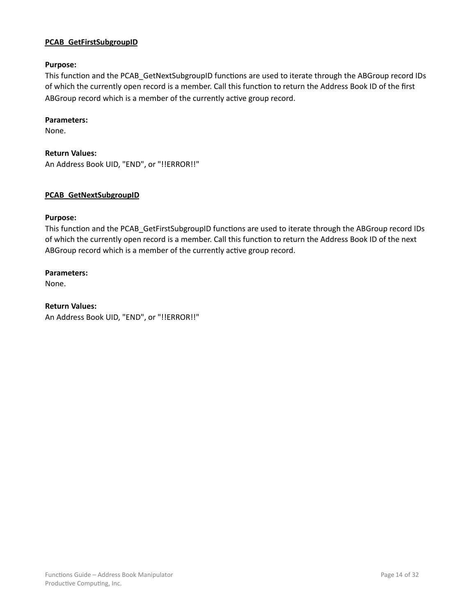#### <span id="page-13-0"></span>**PCAB\_GetFirstSubgroupID**

#### **Purpose:**

This function and the PCAB\_GetNextSubgroupID functions are used to iterate through the ABGroup record IDs of which the currently open record is a member. Call this function to return the Address Book ID of the first ABGroup record which is a member of the currently active group record.

#### **Parameters:**

None.

# **Return Values:**

An Address Book UID, "END", or "!!ERROR!!"

#### **PCAB\_GetNextSubgroupID**

#### **Purpose:**

This function and the PCAB GetFirstSubgroupID functions are used to iterate through the ABGroup record IDs of which the currently open record is a member. Call this function to return the Address Book ID of the next ABGroup record which is a member of the currently active group record.

#### **Parameters:**

None.

#### **Return Values:**

An Address Book UID, "END", or "!!ERROR!!"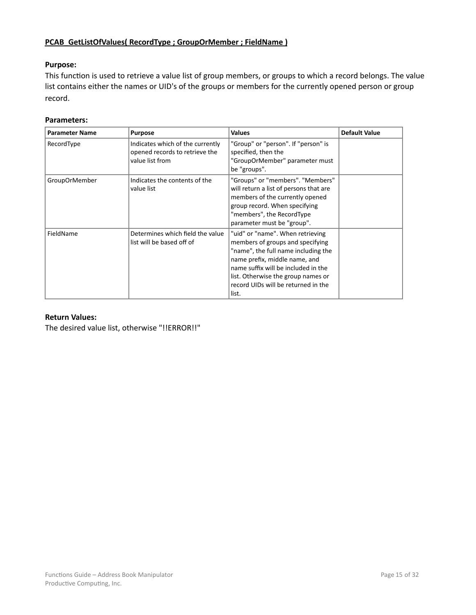## <span id="page-14-0"></span>**PCAB\_GetListOfValues( RecordType ; GroupOrMember ; FieldName )**

#### **Purpose:**

This function is used to retrieve a value list of group members, or groups to which a record belongs. The value list contains either the names or UID's of the groups or members for the currently opened person or group record. 

#### **Parameters:**

| <b>Parameter Name</b> | <b>Purpose</b>                                                                        | <b>Values</b>                                                                                                                                                                                                                                                             | <b>Default Value</b> |
|-----------------------|---------------------------------------------------------------------------------------|---------------------------------------------------------------------------------------------------------------------------------------------------------------------------------------------------------------------------------------------------------------------------|----------------------|
| RecordType            | Indicates which of the currently<br>opened records to retrieve the<br>value list from | "Group" or "person". If "person" is<br>specified, then the<br>"GroupOrMember" parameter must<br>be "groups".                                                                                                                                                              |                      |
| <b>GroupOrMember</b>  | Indicates the contents of the<br>value list                                           | "Groups" or "members". "Members"<br>will return a list of persons that are<br>members of the currently opened<br>group record. When specifying<br>"members", the RecordType<br>parameter must be "group".                                                                 |                      |
| FieldName             | Determines which field the value<br>list will be based off of                         | "uid" or "name". When retrieving<br>members of groups and specifying<br>"name", the full name including the<br>name prefix, middle name, and<br>name suffix will be included in the<br>list. Otherwise the group names or<br>record UIDs will be returned in the<br>list. |                      |

#### **Return Values:**

The desired value list, otherwise "!!ERROR!!"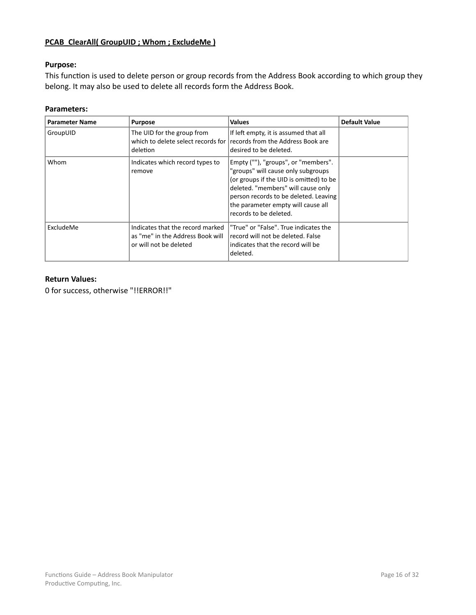## <span id="page-15-0"></span>**PCAB\_ClearAll( GroupUID ; Whom ; ExcludeMe )**

#### **Purpose:**

This function is used to delete person or group records from the Address Book according to which group they belong. It may also be used to delete all records form the Address Book.

#### **Parameters:**

| <b>Parameter Name</b> | <b>Purpose</b>                                                                                 | <b>Values</b>                                                                                                                                                                                                                                                       | <b>Default Value</b> |
|-----------------------|------------------------------------------------------------------------------------------------|---------------------------------------------------------------------------------------------------------------------------------------------------------------------------------------------------------------------------------------------------------------------|----------------------|
| GroupUID              | The UID for the group from<br>deletion                                                         | If left empty, it is assumed that all<br>which to delete select records for records from the Address Book are<br>desired to be deleted.                                                                                                                             |                      |
| Whom                  | Indicates which record types to<br>remove                                                      | Empty (""), "groups", or "members".<br>"groups" will cause only subgroups<br>(or groups if the UID is omitted) to be<br>deleted. "members" will cause only<br>person records to be deleted. Leaving<br>the parameter empty will cause all<br>records to be deleted. |                      |
| ExcludeMe             | Indicates that the record marked<br>as "me" in the Address Book will<br>or will not be deleted | "True" or "False". True indicates the<br>record will not be deleted. False<br>indicates that the record will be<br>deleted.                                                                                                                                         |                      |

#### **Return Values:**

0 for success, otherwise "!!ERROR!!"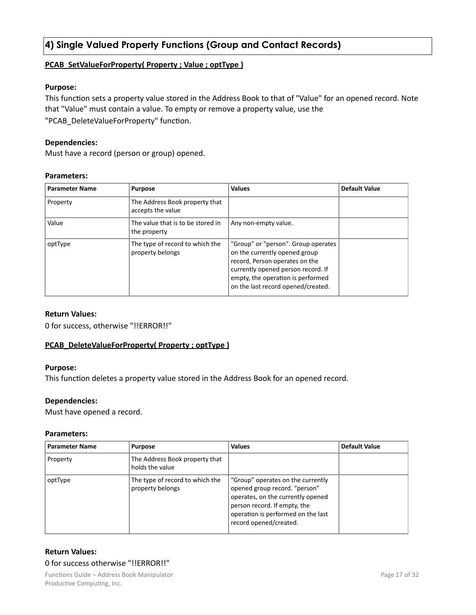# <span id="page-16-0"></span>**4) Single Valued Property Functions (Group and Contact Records)**

#### **PCAB\_SetValueForProperty( Property ; Value ; optType )**

#### **Purpose:**

This function sets a property value stored in the Address Book to that of "Value" for an opened record. Note that "Value" must contain a value. To empty or remove a property value, use the "PCAB\_DeleteValueForProperty" function.

#### **Dependencies:**

Must have a record (person or group) opened.

#### **Parameters:**

| <b>Parameter Name</b> | <b>Purpose</b>                                      | <b>Values</b>                                                                                                                                                                                                           | <b>Default Value</b> |
|-----------------------|-----------------------------------------------------|-------------------------------------------------------------------------------------------------------------------------------------------------------------------------------------------------------------------------|----------------------|
| Property              | The Address Book property that<br>accepts the value |                                                                                                                                                                                                                         |                      |
| Value                 | The value that is to be stored in<br>the property   | Any non-empty value.                                                                                                                                                                                                    |                      |
| optType               | The type of record to which the<br>property belongs | "Group" or "person". Group operates<br>on the currently opened group<br>record, Person operates on the<br>currently opened person record. If<br>empty, the operation is performed<br>on the last record opened/created. |                      |

#### **Return Values:**

0 for success, otherwise "!!ERROR!!"

#### **PCAB\_DeleteValueForProperty( Property ; optType )**

#### **Purpose:**

This function deletes a property value stored in the Address Book for an opened record.

#### **Dependencies:**

Must have opened a record.

#### **Parameters:**

| <b>Parameter Name</b> | <b>Purpose</b>                                      | <b>Values</b>                                                                                                                                                                                           | <b>Default Value</b> |
|-----------------------|-----------------------------------------------------|---------------------------------------------------------------------------------------------------------------------------------------------------------------------------------------------------------|----------------------|
| Property              | The Address Book property that<br>holds the value   |                                                                                                                                                                                                         |                      |
| optType               | The type of record to which the<br>property belongs | "Group" operates on the currently<br>opened group record. "person"<br>operates, on the currently opened<br>person record. If empty, the<br>operation is performed on the last<br>record opened/created. |                      |

#### **Return Values:** 0 for success otherwise "!!ERROR!!"

Functions Guide – Address Book Manipulator **Manipulator Account 18 and 20 and 20 and 20 and 20 and 20 and 20 and 20 and 20 and 20 and 20 and 20 and 20 and 20 and 20 and 20 and 20 and 20 and 20 and 20 and 20 and 20 and 20** Productive Computing, Inc.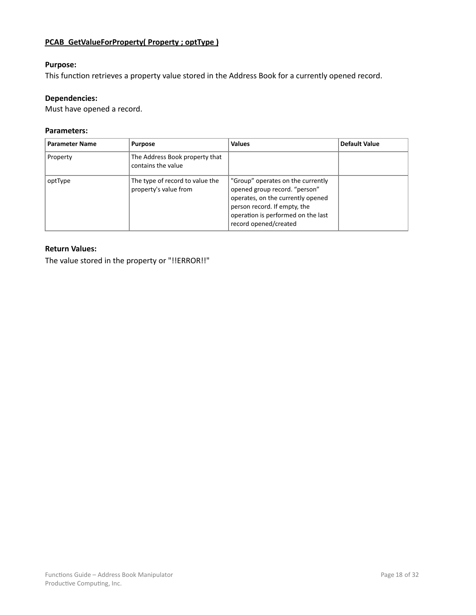# <span id="page-17-0"></span>**PCAB\_GetValueForProperty( Property ; optType)**

#### **Purpose:**

This function retrieves a property value stored in the Address Book for a currently opened record.

#### **Dependencies:**

Must have opened a record.

#### **Parameters:**

| <b>Parameter Name</b> | <b>Purpose</b>                                           | <b>Values</b>                                                                                                                                                                                          | Default Value |
|-----------------------|----------------------------------------------------------|--------------------------------------------------------------------------------------------------------------------------------------------------------------------------------------------------------|---------------|
| Property              | The Address Book property that<br>contains the value     |                                                                                                                                                                                                        |               |
| optType               | The type of record to value the<br>property's value from | "Group" operates on the currently<br>opened group record. "person"<br>operates, on the currently opened<br>person record. If empty, the<br>operation is performed on the last<br>record opened/created |               |

#### **Return Values:**

The value stored in the property or "!!ERROR!!"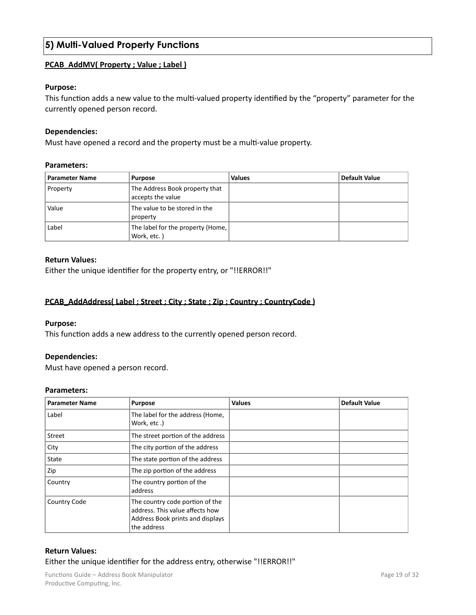# <span id="page-18-0"></span>**5) Multi-Valued Property Functions**

#### **PCAB\_AddMV( Property ; Value ; Label)**

#### **Purpose:**

This function adds a new value to the multi-valued property identified by the "property" parameter for the currently opened person record.

#### **Dependencies:**

Must have opened a record and the property must be a multi-value property.

#### **Parameters:**

| <b>Parameter Name</b> | <b>Purpose</b>                                      | <b>Values</b> | <b>Default Value</b> |
|-----------------------|-----------------------------------------------------|---------------|----------------------|
| Property              | The Address Book property that<br>accepts the value |               |                      |
| Value                 | The value to be stored in the<br>property           |               |                      |
| Label                 | The label for the property (Home,  <br>Work, etc.)  |               |                      |

#### **Return Values:**

Either the unique identifier for the property entry, or "!!ERROR!!"

#### **PCAB\_AddAddress(Label ; Street ; City ; State ; Zip ; Country ; CountryCode)**

#### **Purpose:**

This function adds a new address to the currently opened person record.

#### **Dependencies:**

Must have opened a person record.

#### **Parameters:**

| <b>Parameter Name</b> | <b>Purpose</b>                                                                                                        | <b>Values</b> | <b>Default Value</b> |
|-----------------------|-----------------------------------------------------------------------------------------------------------------------|---------------|----------------------|
| Label                 | The label for the address (Home,<br>Work, etc.)                                                                       |               |                      |
| Street                | The street portion of the address                                                                                     |               |                      |
| City                  | The city portion of the address                                                                                       |               |                      |
| State                 | The state portion of the address                                                                                      |               |                      |
| Zip                   | The zip portion of the address                                                                                        |               |                      |
| Country               | The country portion of the<br>address                                                                                 |               |                      |
| Country Code          | The country code portion of the<br>address. This value affects how<br>Address Book prints and displays<br>the address |               |                      |

#### **Return Values:**

Either the unique identifier for the address entry, otherwise "!!ERROR!!"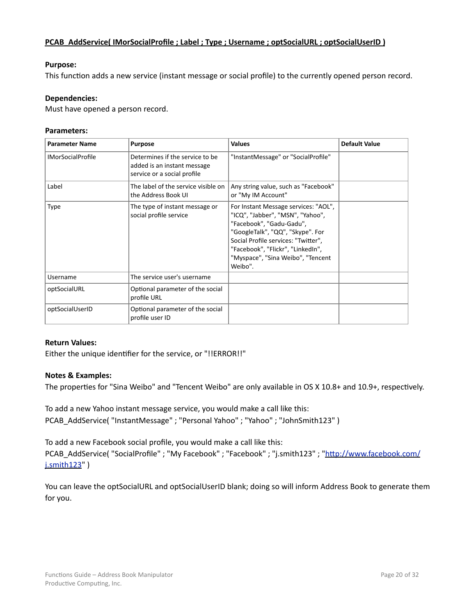#### <span id="page-19-0"></span>**PCAB\_AddService( IMorSocialProfile : Label : Type : Username : optSocialURL : optSocialUserID )**

#### **Purpose:**

This function adds a new service (instant message or social profile) to the currently opened person record.

#### **Dependencies:**

Must have opened a person record.

#### **Parameters:**

| <b>Parameter Name</b>    | <b>Purpose</b>                                                                                | <b>Values</b>                                                                                                                                                                                                                                                        | <b>Default Value</b> |
|--------------------------|-----------------------------------------------------------------------------------------------|----------------------------------------------------------------------------------------------------------------------------------------------------------------------------------------------------------------------------------------------------------------------|----------------------|
| <b>IMorSocialProfile</b> | Determines if the service to be<br>added is an instant message<br>service or a social profile | "InstantMessage" or "SocialProfile"                                                                                                                                                                                                                                  |                      |
| Label                    | The label of the service visible on<br>the Address Book UI                                    | Any string value, such as "Facebook"<br>or "My IM Account"                                                                                                                                                                                                           |                      |
| <b>Type</b>              | The type of instant message or<br>social profile service                                      | For Instant Message services: "AOL",<br>"ICQ", "Jabber", "MSN", "Yahoo",<br>"Facebook", "Gadu-Gadu",<br>"GoogleTalk", "QQ", "Skype". For<br>Social Profile services: "Twitter",<br>"Facebook", "Flickr", "LinkedIn",<br>"Myspace", "Sina Weibo", "Tencent<br>Weibo". |                      |
| Username                 | The service user's username                                                                   |                                                                                                                                                                                                                                                                      |                      |
| optSocialURL             | Optional parameter of the social<br>profile URL                                               |                                                                                                                                                                                                                                                                      |                      |
| optSocialUserID          | Optional parameter of the social<br>profile user ID                                           |                                                                                                                                                                                                                                                                      |                      |

#### **Return Values:**

Either the unique identifier for the service, or "!!ERROR!!"

#### **Notes & Examples:**

The properties for "Sina Weibo" and "Tencent Weibo" are only available in OS X 10.8+ and 10.9+, respectively.

To add a new Yahoo instant message service, you would make a call like this: PCAB\_AddService("InstantMessage" ; "Personal Yahoo" ; "Yahoo" ; "JohnSmith123")

To add a new Facebook social profile, you would make a call like this: PCAB\_AddService("SocialProfile" ; "My Facebook" ; "Facebook" ; "j.smith123" ; "http://www.facebook.com/ j.smith123" )

You can leave the optSocialURL and optSocialUserID blank; doing so will inform Address Book to generate them for you.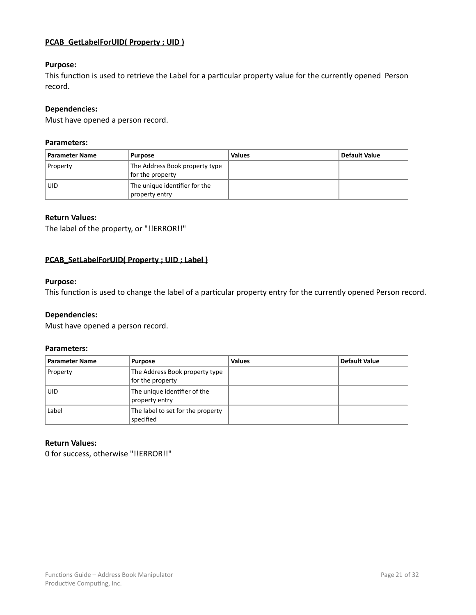#### <span id="page-20-0"></span>**PCAB\_GetLabelForUID( Property ; UID)**

#### **Purpose:**

This function is used to retrieve the Label for a particular property value for the currently opened Person record. 

#### **Dependencies:**

Must have opened a person record.

#### **Parameters:**

| <b>Parameter Name</b> | Purpose                                            | <b>Values</b> | Default Value |
|-----------------------|----------------------------------------------------|---------------|---------------|
| Property              | The Address Book property type<br>for the property |               |               |
| <b>UID</b>            | The unique identifier for the<br>property entry    |               |               |

#### **Return Values:**

The label of the property, or "!!ERROR!!"

#### **PCAB\_SetLabelForUID( Property ; UID ; Label )**

#### **Purpose:**

This function is used to change the label of a particular property entry for the currently opened Person record.

#### **Dependencies:**

Must have opened a person record.

#### **Parameters:**

| <b>Parameter Name</b> | <b>Purpose</b>                                     | <b>Values</b> | <b>Default Value</b> |
|-----------------------|----------------------------------------------------|---------------|----------------------|
| Property              | The Address Book property type<br>for the property |               |                      |
| <b>UID</b>            | The unique identifier of the<br>property entry     |               |                      |
| Label                 | The label to set for the property<br>specified     |               |                      |

#### **Return Values:**

0 for success, otherwise "!!ERROR!!"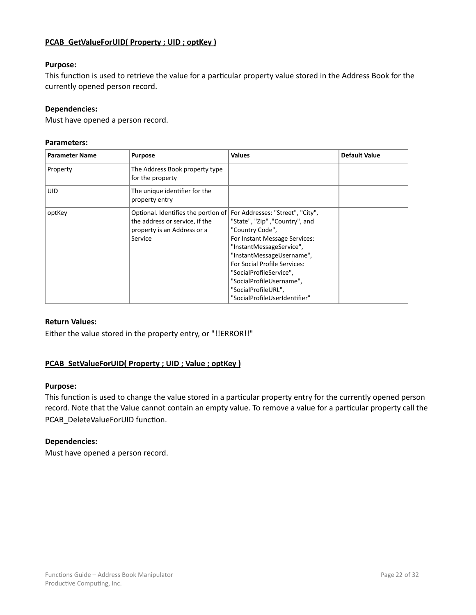#### <span id="page-21-0"></span>**PCAB\_GetValueForUID( Property ; UID ; optKey )**

#### **Purpose:**

This function is used to retrieve the value for a particular property value stored in the Address Book for the currently opened person record.

#### **Dependencies:**

Must have opened a person record.

#### **Parameters:**

| <b>Parameter Name</b> | <b>Purpose</b>                                                                                                  | <b>Values</b>                                                                                                                                                                                                                                                                                                                  | <b>Default Value</b> |
|-----------------------|-----------------------------------------------------------------------------------------------------------------|--------------------------------------------------------------------------------------------------------------------------------------------------------------------------------------------------------------------------------------------------------------------------------------------------------------------------------|----------------------|
| Property              | The Address Book property type<br>for the property                                                              |                                                                                                                                                                                                                                                                                                                                |                      |
| <b>UID</b>            | The unique identifier for the<br>property entry                                                                 |                                                                                                                                                                                                                                                                                                                                |                      |
| optKey                | Optional. Identifies the portion of<br>the address or service, if the<br>property is an Address or a<br>Service | For Addresses: "Street", "City",<br>"State", "Zip", "Country", and<br>"Country Code",<br>For Instant Message Services:<br>"InstantMessageService",<br>"InstantMessageUsername",<br>For Social Profile Services:<br>"SocialProfileService",<br>"SocialProfileUsername",<br>"SocialProfileURL",<br>"SocialProfileUserIdentifier" |                      |

#### **Return Values:**

Either the value stored in the property entry, or "!!ERROR!!"

#### **PCAB\_SetValueForUID( Property ; UID ; Value ; optKey)**

#### **Purpose:**

This function is used to change the value stored in a particular property entry for the currently opened person record. Note that the Value cannot contain an empty value. To remove a value for a particular property call the PCAB\_DeleteValueForUID function.

#### **Dependencies:**

Must have opened a person record.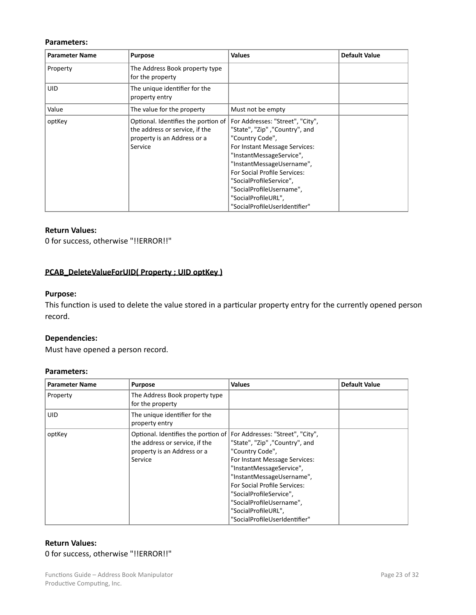#### <span id="page-22-0"></span>**Parameters:**

| <b>Parameter Name</b> | <b>Purpose</b>                                                                                                  | <b>Values</b>                                                                                                                                                                                                                                                                                                                  | <b>Default Value</b> |
|-----------------------|-----------------------------------------------------------------------------------------------------------------|--------------------------------------------------------------------------------------------------------------------------------------------------------------------------------------------------------------------------------------------------------------------------------------------------------------------------------|----------------------|
| Property              | The Address Book property type<br>for the property                                                              |                                                                                                                                                                                                                                                                                                                                |                      |
| <b>UID</b>            | The unique identifier for the<br>property entry                                                                 |                                                                                                                                                                                                                                                                                                                                |                      |
| Value                 | The value for the property                                                                                      | Must not be empty                                                                                                                                                                                                                                                                                                              |                      |
| optKey                | Optional. Identifies the portion of<br>the address or service, if the<br>property is an Address or a<br>Service | For Addresses: "Street", "City",<br>"State", "Zip", "Country", and<br>"Country Code",<br>For Instant Message Services:<br>"InstantMessageService",<br>"InstantMessageUsername",<br>For Social Profile Services:<br>"SocialProfileService",<br>"SocialProfileUsername",<br>"SocialProfileURL",<br>"SocialProfileUserIdentifier" |                      |

#### **Return Values:**

0 for success, otherwise "!!ERROR!!"

### **PCAB\_DeleteValueForUID( Property ; UID optKey)**

#### **Purpose:**

This function is used to delete the value stored in a particular property entry for the currently opened person record. 

#### **Dependencies:**

Must have opened a person record.

#### **Parameters:**

| <b>Parameter Name</b> | <b>Purpose</b>                                                                                                                                   | <b>Values</b>                                                                                                                                                                                                                                                                                     | <b>Default Value</b> |
|-----------------------|--------------------------------------------------------------------------------------------------------------------------------------------------|---------------------------------------------------------------------------------------------------------------------------------------------------------------------------------------------------------------------------------------------------------------------------------------------------|----------------------|
| Property              | The Address Book property type<br>for the property                                                                                               |                                                                                                                                                                                                                                                                                                   |                      |
| <b>UID</b>            | The unique identifier for the<br>property entry                                                                                                  |                                                                                                                                                                                                                                                                                                   |                      |
| optKey                | Optional. Identifies the portion of For Addresses: "Street", "City",<br>the address or service, if the<br>property is an Address or a<br>Service | "State", "Zip", "Country", and<br>"Country Code",<br>For Instant Message Services:<br>"InstantMessageService",<br>"InstantMessageUsername",<br><b>For Social Profile Services:</b><br>"SocialProfileService",<br>"SocialProfileUsername",<br>"SocialProfileURL",<br>"SocialProfileUserIdentifier" |                      |

#### **Return Values:** 0 for success, otherwise "!!ERROR!!"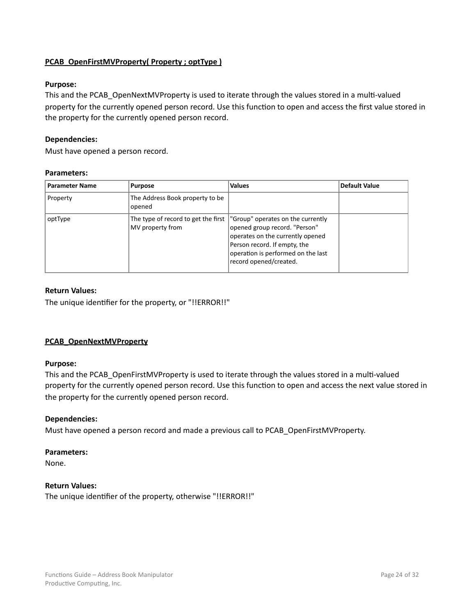#### <span id="page-23-0"></span>**PCAB\_OpenFirstMVProperty( Property ; optType )**

#### **Purpose:**

This and the PCAB\_OpenNextMVProperty is used to iterate through the values stored in a multi-valued property for the currently opened person record. Use this function to open and access the first value stored in the property for the currently opened person record.

#### **Dependencies:**

Must have opened a person record.

#### **Parameters:**

| <b>Parameter Name</b> | <b>Purpose</b>                            | <b>Values</b>                                                                                                                                                                                                                               | <b>Default Value</b> |
|-----------------------|-------------------------------------------|---------------------------------------------------------------------------------------------------------------------------------------------------------------------------------------------------------------------------------------------|----------------------|
| Property              | The Address Book property to be<br>opened |                                                                                                                                                                                                                                             |                      |
| optType               | MV property from                          | The type of record to get the first  "Group" operates on the currently<br>opened group record. "Person"<br>operates on the currently opened<br>Person record. If empty, the<br>operation is performed on the last<br>record opened/created. |                      |

#### **Return Values:**

The unique identifier for the property, or "!!ERROR!!"

#### **PCAB\_OpenNextMVProperty**

#### **Purpose:**

This and the PCAB\_OpenFirstMVProperty is used to iterate through the values stored in a multi-valued property for the currently opened person record. Use this function to open and access the next value stored in the property for the currently opened person record.

#### **Dependencies:**

Must have opened a person record and made a previous call to PCAB\_OpenFirstMVProperty.

#### **Parameters:**

None.

#### **Return Values:**

The unique identifier of the property, otherwise "!!ERROR!!"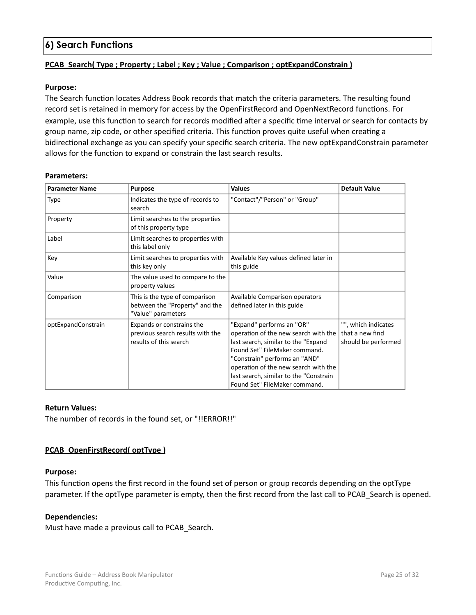# <span id="page-24-0"></span>**6) Search Functions**

#### **PCAB\_Search(** Type ; Property ; Label ; Key ; Value ; Comparison ; optExpandConstrain )

#### **Purpose:**

The Search function locates Address Book records that match the criteria parameters. The resulting found record set is retained in memory for access by the OpenFirstRecord and OpenNextRecord functions. For example, use this function to search for records modified after a specific time interval or search for contacts by group name, zip code, or other specified criteria. This function proves quite useful when creating a bidirectional exchange as you can specify your specific search criteria. The new optExpandConstrain parameter allows for the function to expand or constrain the last search results.

#### **Parameters:**

| <b>Parameter Name</b> | <b>Purpose</b>                                                                          | <b>Values</b>                                                                                                                                                                                                                                                                                 | <b>Default Value</b>                                          |
|-----------------------|-----------------------------------------------------------------------------------------|-----------------------------------------------------------------------------------------------------------------------------------------------------------------------------------------------------------------------------------------------------------------------------------------------|---------------------------------------------------------------|
| Type                  | Indicates the type of records to<br>search                                              | "Contact"/"Person" or "Group"                                                                                                                                                                                                                                                                 |                                                               |
| Property              | Limit searches to the properties<br>of this property type                               |                                                                                                                                                                                                                                                                                               |                                                               |
| Label                 | Limit searches to properties with<br>this label only                                    |                                                                                                                                                                                                                                                                                               |                                                               |
| Key                   | Limit searches to properties with<br>this key only                                      | Available Key values defined later in<br>this guide                                                                                                                                                                                                                                           |                                                               |
| Value                 | The value used to compare to the<br>property values                                     |                                                                                                                                                                                                                                                                                               |                                                               |
| Comparison            | This is the type of comparison<br>between the "Property" and the<br>"Value" parameters  | Available Comparison operators<br>defined later in this guide                                                                                                                                                                                                                                 |                                                               |
| optExpandConstrain    | Expands or constrains the<br>previous search results with the<br>results of this search | "Expand" performs an "OR"<br>operation of the new search with the<br>last search, similar to the "Expand<br>Found Set" FileMaker command.<br>"Constrain" performs an "AND"<br>operation of the new search with the<br>last search, similar to the "Constrain<br>Found Set" FileMaker command. | "", which indicates<br>that a new find<br>should be performed |

#### **Return Values:**

The number of records in the found set, or "!!ERROR!!"

#### **PCAB\_OpenFirstRecord( optType)**

#### **Purpose:**

This function opens the first record in the found set of person or group records depending on the optType parameter. If the optType parameter is empty, then the first record from the last call to PCAB Search is opened.

#### **Dependencies:**

Must have made a previous call to PCAB\_Search.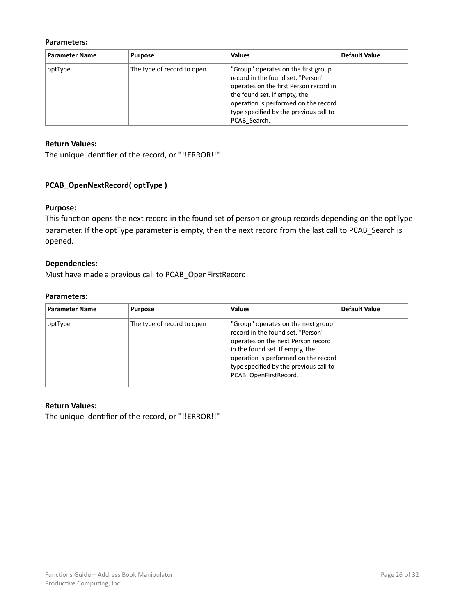#### <span id="page-25-0"></span>**Parameters:**

| <b>Parameter Name</b> | <b>Purpose</b>             | <b>Values</b>                                                                                                                                                                                                                                        | <b>Default Value</b> |
|-----------------------|----------------------------|------------------------------------------------------------------------------------------------------------------------------------------------------------------------------------------------------------------------------------------------------|----------------------|
| optType               | The type of record to open | "Group" operates on the first group<br>record in the found set. "Person"<br>operates on the first Person record in<br>the found set. If empty, the<br>operation is performed on the record<br>type specified by the previous call to<br>PCAB Search. |                      |

#### **Return Values:**

The unique identifier of the record, or "!!ERROR!!"

#### **PCAB\_OpenNextRecord(** optType )

#### **Purpose:**

This function opens the next record in the found set of person or group records depending on the optType parameter. If the optType parameter is empty, then the next record from the last call to PCAB\_Search is opened. 

#### **Dependencies:**

Must have made a previous call to PCAB\_OpenFirstRecord.

#### **Parameters:**

| <b>Parameter Name</b> | <b>Purpose</b>             | <b>Values</b>                                                                                                                                                                                                                                               | Default Value |
|-----------------------|----------------------------|-------------------------------------------------------------------------------------------------------------------------------------------------------------------------------------------------------------------------------------------------------------|---------------|
| optType               | The type of record to open | "Group" operates on the next group<br>record in the found set. "Person"<br>operates on the next Person record<br>in the found set. If empty, the<br>operation is performed on the record<br>type specified by the previous call to<br>PCAB OpenFirstRecord. |               |

#### **Return Values:**

The unique identifier of the record, or "!!ERROR!!"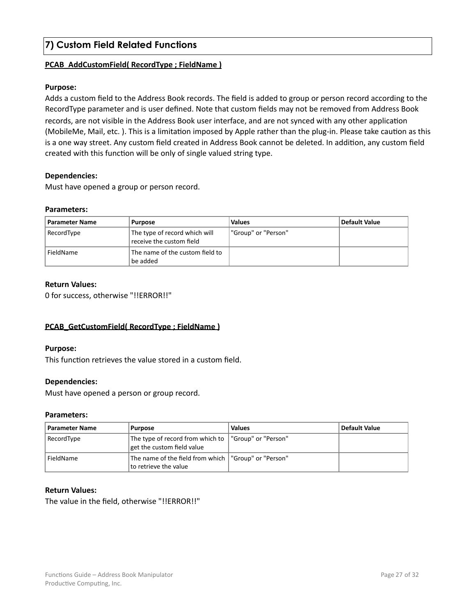# <span id="page-26-0"></span>**7) Custom Field Related Functions**

#### **PCAB\_AddCustomField( RecordType ; FieldName )**

#### **Purpose:**

Adds a custom field to the Address Book records. The field is added to group or person record according to the RecordType parameter and is user defined. Note that custom fields may not be removed from Address Book records, are not visible in the Address Book user interface, and are not synced with any other application (MobileMe, Mail, etc.). This is a limitation imposed by Apple rather than the plug-in. Please take caution as this is a one way street. Any custom field created in Address Book cannot be deleted. In addition, any custom field created with this function will be only of single valued string type.

#### **Dependencies:**

Must have opened a group or person record.

#### **Parameters:**

| <b>Parameter Name</b> | <b>Purpose</b>                                            | <b>Values</b>       | Default Value |
|-----------------------|-----------------------------------------------------------|---------------------|---------------|
| RecordType            | The type of record which will<br>receive the custom field | "Group" or "Person" |               |
| FieldName             | The name of the custom field to<br>be added               |                     |               |

#### **Return Values:**

0 for success, otherwise "!!ERROR!!"

#### **PCAB\_GetCustomField( RecordType : FieldName)**

#### **Purpose:**

This function retrieves the value stored in a custom field.

#### **Dependencies:**

Must have opened a person or group record.

#### **Parameters:**

| <b>Parameter Name</b> | <b>Purpose</b>                                                                      | <b>Values</b> | <b>Default Value</b> |
|-----------------------|-------------------------------------------------------------------------------------|---------------|----------------------|
| RecordType            | The type of record from which to  "Group" or "Person"<br>get the custom field value |               |                      |
| FieldName             | The name of the field from which   "Group" or "Person"<br>to retrieve the value     |               |                      |

#### **Return Values:**

The value in the field, otherwise "!!ERROR!!"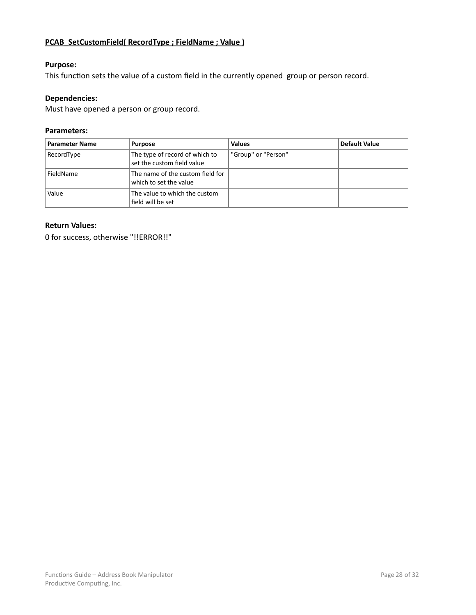## <span id="page-27-0"></span>**PCAB\_SetCustomField( RecordType ; FieldName ; Value )**

#### **Purpose:**

This function sets the value of a custom field in the currently opened group or person record.

#### **Dependencies:**

Must have opened a person or group record.

#### **Parameters:**

| <b>Parameter Name</b> | <b>Purpose</b>                                               | <b>Values</b>       | <b>Default Value</b> |
|-----------------------|--------------------------------------------------------------|---------------------|----------------------|
| RecordType            | The type of record of which to<br>set the custom field value | "Group" or "Person" |                      |
| FieldName             | The name of the custom field for<br>which to set the value   |                     |                      |
| Value                 | The value to which the custom<br>field will be set           |                     |                      |

#### **Return Values:**

0 for success, otherwise "!!ERROR!!"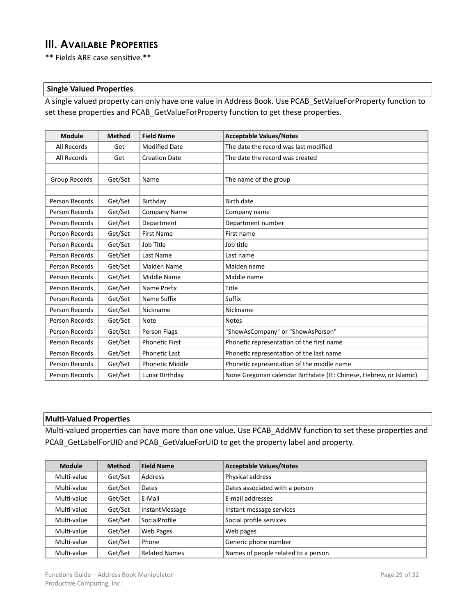# <span id="page-28-0"></span>**III. AVAILABLE PROPERTIES**

\*\* Fields ARE case sensitive.\*\*

#### **Single Valued Properties**

A single valued property can only have one value in Address Book. Use PCAB\_SetValueForProperty function to set these properties and PCAB\_GetValueForProperty function to get these properties.

| <b>Module</b>  | <b>Method</b> | <b>Field Name</b>      | <b>Acceptable Values/Notes</b>                                      |
|----------------|---------------|------------------------|---------------------------------------------------------------------|
| All Records    | Get           | <b>Modified Date</b>   | The date the record was last modified                               |
| All Records    | Get           | <b>Creation Date</b>   | The date the record was created                                     |
|                |               |                        |                                                                     |
| Group Records  | Get/Set       | Name                   | The name of the group                                               |
|                |               |                        |                                                                     |
| Person Records | Get/Set       | Birthday               | <b>Birth date</b>                                                   |
| Person Records | Get/Set       | <b>Company Name</b>    | Company name                                                        |
| Person Records | Get/Set       | Department             | Department number                                                   |
| Person Records | Get/Set       | <b>First Name</b>      | First name                                                          |
| Person Records | Get/Set       | Job Title              | Job title                                                           |
| Person Records | Get/Set       | Last Name              | Last name                                                           |
| Person Records | Get/Set       | Maiden Name            | Maiden name                                                         |
| Person Records | Get/Set       | Middle Name            | Middle name                                                         |
| Person Records | Get/Set       | Name Prefix            | Title                                                               |
| Person Records | Get/Set       | Name Suffix            | Suffix                                                              |
| Person Records | Get/Set       | Nickname               | Nickname                                                            |
| Person Records | Get/Set       | <b>Note</b>            | <b>Notes</b>                                                        |
| Person Records | Get/Set       | Person Flags           | "ShowAsCompany" or "ShowAsPerson"                                   |
| Person Records | Get/Set       | <b>Phonetic First</b>  | Phonetic representation of the first name                           |
| Person Records | Get/Set       | <b>Phonetic Last</b>   | Phonetic representation of the last name                            |
| Person Records | Get/Set       | <b>Phonetic Middle</b> | Phonetic representation of the middle name                          |
| Person Records | Get/Set       | Lunar Birthday         | None Gregorian calendar Birthdate (IE: Chinese, Hebrew, or Islamic) |

#### **Multi-Valued Properties**

Multi-valued properties can have more than one value. Use PCAB\_AddMV function to set these properties and PCAB\_GetLabelForUID and PCAB\_GetValueForUID to get the property label and property.

| <b>Module</b> | <b>Method</b> | <b>Field Name</b>    | <b>Acceptable Values/Notes</b>      |
|---------------|---------------|----------------------|-------------------------------------|
| Multi-value   | Get/Set       | Address              | Physical address                    |
| Multi-value   | Get/Set       | Dates                | Dates associated with a person      |
| Multi-value   | Get/Set       | E-Mail               | E-mail addresses                    |
| Multi-value   | Get/Set       | InstantMessage       | Instant message services            |
| Multi-value   | Get/Set       | SocialProfile        | Social profile services             |
| Multi-value   | Get/Set       | Web Pages            | Web pages                           |
| Multi-value   | Get/Set       | Phone                | Generic phone number                |
| Multi-value   | Get/Set       | <b>Related Names</b> | Names of people related to a person |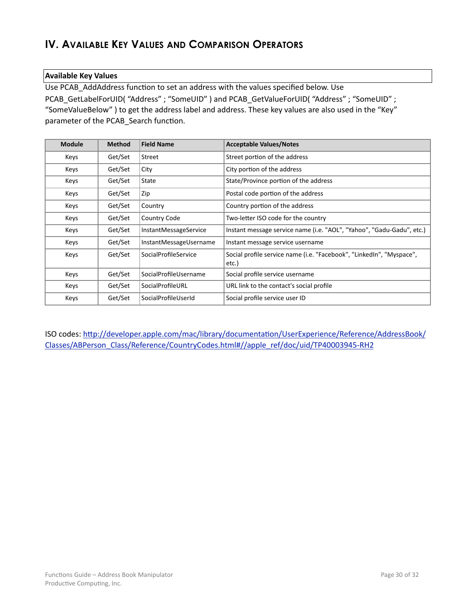# <span id="page-29-0"></span>**IV. AVAILABLE KEY VALUES AND COMPARISON OPERATORS**

#### **Available Key Values**

Use PCAB\_AddAddress function to set an address with the values specified below. Use PCAB\_GetLabelForUID( "Address" ; "SomeUID" ) and PCAB\_GetValueForUID( "Address" ; "SomeUID" ; "SomeValueBelow" ) to get the address label and address. These key values are also used in the "Key" parameter of the PCAB\_Search function.

| <b>Module</b> | <b>Method</b> | <b>Field Name</b>      | <b>Acceptable Values/Notes</b>                                                |
|---------------|---------------|------------------------|-------------------------------------------------------------------------------|
| Keys          | Get/Set       | Street                 | Street portion of the address                                                 |
| Keys          | Get/Set       | City                   | City portion of the address                                                   |
| Keys          | Get/Set       | State                  | State/Province portion of the address                                         |
| Keys          | Get/Set       | Zip                    | Postal code portion of the address                                            |
| Keys          | Get/Set       | Country                | Country portion of the address                                                |
| Keys          | Get/Set       | Country Code           | Two-letter ISO code for the country                                           |
| Keys          | Get/Set       | InstantMessageService  | Instant message service name (i.e. "AOL", "Yahoo", "Gadu-Gadu", etc.)         |
| Keys          | Get/Set       | InstantMessageUsername | Instant message service username                                              |
| Keys          | Get/Set       | SocialProfileService   | Social profile service name (i.e. "Facebook", "LinkedIn", "Myspace",<br>etc.) |
| Keys          | Get/Set       | SocialProfileUsername  | Social profile service username                                               |
| Keys          | Get/Set       | SocialProfileURL       | URL link to the contact's social profile                                      |
| Keys          | Get/Set       | SocialProfileUserId    | Social profile service user ID                                                |

ISO codes: http://developer.apple.com/mac/library/documentation/UserExperience/Reference/AddressBook/ Classes/ABPerson\_Class/Reference/CountryCodes.html#//apple\_ref/doc/uid/TP40003945-RH2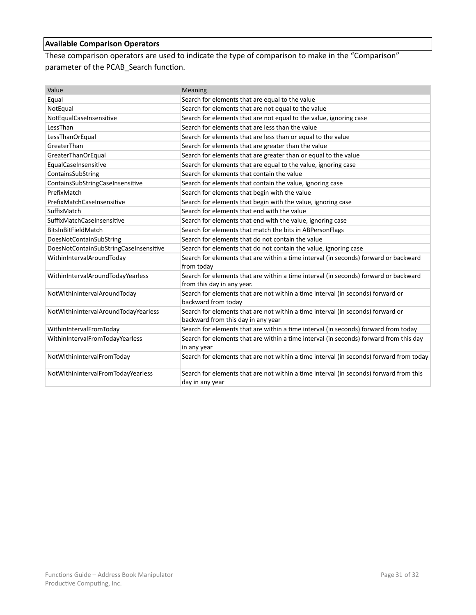# <span id="page-30-0"></span>**Available Comparison Operators**

These comparison operators are used to indicate the type of comparison to make in the "Comparison" parameter of the PCAB\_Search function.

| Value                                  | Meaning                                                                                                               |
|----------------------------------------|-----------------------------------------------------------------------------------------------------------------------|
| Equal                                  | Search for elements that are equal to the value                                                                       |
| NotEqual                               | Search for elements that are not equal to the value                                                                   |
| NotEqualCaseInsensitive                | Search for elements that are not equal to the value, ignoring case                                                    |
| LessThan                               | Search for elements that are less than the value                                                                      |
| LessThanOrEqual                        | Search for elements that are less than or equal to the value                                                          |
| GreaterThan                            | Search for elements that are greater than the value                                                                   |
| GreaterThanOrEqual                     | Search for elements that are greater than or equal to the value                                                       |
| EqualCaseInsensitive                   | Search for elements that are equal to the value, ignoring case                                                        |
| ContainsSubString                      | Search for elements that contain the value                                                                            |
| ContainsSubStringCaseInsensitive       | Search for elements that contain the value, ignoring case                                                             |
| PrefixMatch                            | Search for elements that begin with the value                                                                         |
| PrefixMatchCaseInsensitive             | Search for elements that begin with the value, ignoring case                                                          |
| SuffixMatch                            | Search for elements that end with the value                                                                           |
| SuffixMatchCaseInsensitive             | Search for elements that end with the value, ignoring case                                                            |
| BitsInBitFieldMatch                    | Search for elements that match the bits in ABPersonFlags                                                              |
| DoesNotContainSubString                | Search for elements that do not contain the value                                                                     |
| DoesNotContainSubStringCaseInsensitive | Search for elements that do not contain the value, ignoring case                                                      |
| WithinIntervalAroundToday              | Search for elements that are within a time interval (in seconds) forward or backward<br>from today                    |
| WithinIntervalAroundTodayYearless      | Search for elements that are within a time interval (in seconds) forward or backward<br>from this day in any year.    |
| NotWithinIntervalAroundToday           | Search for elements that are not within a time interval (in seconds) forward or<br>backward from today                |
| NotWithinIntervalAroundTodayYearless   | Search for elements that are not within a time interval (in seconds) forward or<br>backward from this day in any year |
| WithinIntervalFromToday                | Search for elements that are within a time interval (in seconds) forward from today                                   |
| WithinIntervalFromTodayYearless        | Search for elements that are within a time interval (in seconds) forward from this day<br>in any year                 |
| NotWithinIntervalFromToday             | Search for elements that are not within a time interval (in seconds) forward from today                               |
| NotWithinIntervalFromTodayYearless     | Search for elements that are not within a time interval (in seconds) forward from this<br>day in any year             |